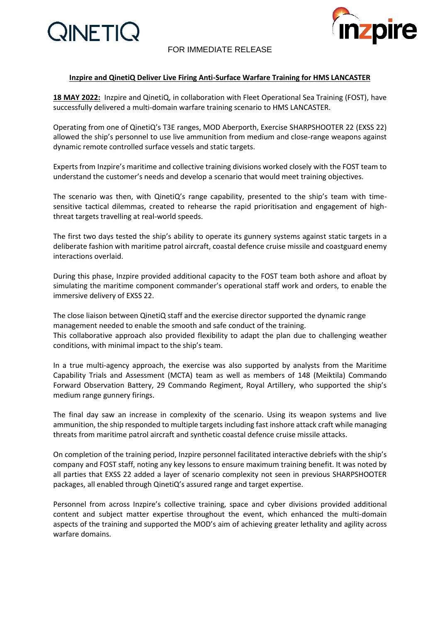

## FOR IMMEDIATE RELEASE



### **Inzpire and QinetiQ Deliver Live Firing Anti-Surface Warfare Training for HMS LANCASTER**

**18 MAY 2022:** Inzpire and QinetiQ, in collaboration with Fleet Operational Sea Training (FOST), have successfully delivered a multi-domain warfare training scenario to HMS LANCASTER.

Operating from one of QinetiQ's T3E ranges, MOD Aberporth, Exercise SHARPSHOOTER 22 (EXSS 22) allowed the ship's personnel to use live ammunition from medium and close-range weapons against dynamic remote controlled surface vessels and static targets.

Experts from Inzpire's maritime and collective training divisions worked closely with the FOST team to understand the customer's needs and develop a scenario that would meet training objectives.

The scenario was then, with QinetiQ's range capability, presented to the ship's team with timesensitive tactical dilemmas, created to rehearse the rapid prioritisation and engagement of highthreat targets travelling at real-world speeds.

The first two days tested the ship's ability to operate its gunnery systems against static targets in a deliberate fashion with maritime patrol aircraft, coastal defence cruise missile and coastguard enemy interactions overlaid.

During this phase, Inzpire provided additional capacity to the FOST team both ashore and afloat by simulating the maritime component commander's operational staff work and orders, to enable the immersive delivery of EXSS 22.

The close liaison between QinetiQ staff and the exercise director supported the dynamic range management needed to enable the smooth and safe conduct of the training. This collaborative approach also provided flexibility to adapt the plan due to challenging weather conditions, with minimal impact to the ship's team.

In a true multi-agency approach, the exercise was also supported by analysts from the Maritime Capability Trials and Assessment (MCTA) team as well as members of 148 (Meiktila) Commando Forward Observation Battery, 29 Commando Regiment, Royal Artillery, who supported the ship's medium range gunnery firings.

The final day saw an increase in complexity of the scenario. Using its weapon systems and live ammunition, the ship responded to multiple targets including fast inshore attack craft while managing threats from maritime patrol aircraft and synthetic coastal defence cruise missile attacks.

On completion of the training period, Inzpire personnel facilitated interactive debriefs with the ship's company and FOST staff, noting any key lessons to ensure maximum training benefit. It was noted by all parties that EXSS 22 added a layer of scenario complexity not seen in previous SHARPSHOOTER packages, all enabled through QinetiQ's assured range and target expertise.

Personnel from across Inzpire's collective training, space and cyber divisions provided additional content and subject matter expertise throughout the event, which enhanced the multi-domain aspects of the training and supported the MOD's aim of achieving greater lethality and agility across warfare domains.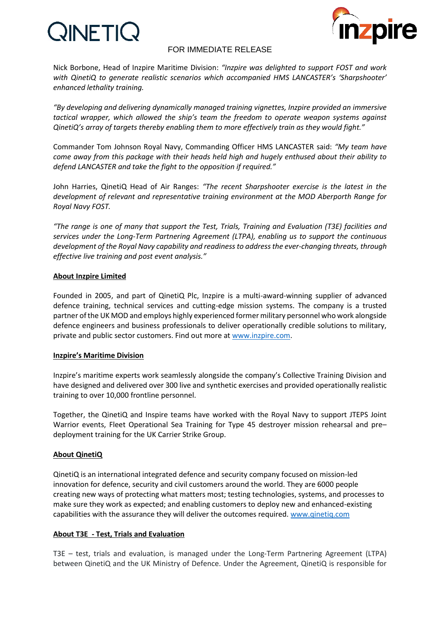# **QINETIC**



## FOR IMMEDIATE RELEASE

Nick Borbone, Head of Inzpire Maritime Division: *"Inzpire was delighted to support FOST and work with QinetiQ to generate realistic scenarios which accompanied HMS LANCASTER's 'Sharpshooter' enhanced lethality training.* 

*"By developing and delivering dynamically managed training vignettes, Inzpire provided an immersive tactical wrapper, which allowed the ship's team the freedom to operate weapon systems against QinetiQ's array of targets thereby enabling them to more effectively train as they would fight."*

Commander Tom Johnson Royal Navy, Commanding Officer HMS LANCASTER said: *"My team have come away from this package with their heads held high and hugely enthused about their ability to defend LANCASTER and take the fight to the opposition if required."*

John Harries, QinetiQ Head of Air Ranges: *"The recent Sharpshooter exercise is the latest in the development of relevant and representative training environment at the MOD Aberporth Range for Royal Navy FOST.* 

*"The range is one of many that support the Test, Trials, Training and Evaluation (T3E) facilities and services under the Long-Term Partnering Agreement (LTPA), enabling us to support the continuous development of the Royal Navy capability and readiness to address the ever-changing threats, through effective live training and post event analysis."*

#### **About Inzpire Limited**

Founded in 2005, and part of QinetiQ Plc, Inzpire is a multi-award-winning supplier of advanced defence training, technical services and cutting-edge mission systems. The company is a trusted partner of the UK MOD and employs highly experienced former military personnel who work alongside defence engineers and business professionals to deliver operationally credible solutions to military, private and public sector customers. Find out more at [www.inzpire.com.](http://www.inzpire.com/)

#### **Inzpire's Maritime Division**

Inzpire's maritime experts work seamlessly alongside the company's Collective Training Division and have designed and delivered over 300 live and synthetic exercises and provided operationally realistic training to over 10,000 frontline personnel.

Together, the QinetiQ and Inspire teams have worked with the Royal Navy to support JTEPS Joint Warrior events, Fleet Operational Sea Training for Type 45 destroyer mission rehearsal and pre– deployment training for the UK Carrier Strike Group.

#### **About QinetiQ**

QinetiQ is an international integrated defence and security company focused on mission-led innovation for defence, security and civil customers around the world. They are 6000 people creating new ways of protecting what matters most; testing technologies, systems, and processes to make sure they work as expected; and enabling customers to deploy new and enhanced-existing capabilities with the assurance they will deliver the outcomes required. [www.qinetiq.com](http://www.qinetiq.com/)

#### **About T3E - Test, Trials and Evaluation**

T3E – test, trials and evaluation, is managed under the Long-Term Partnering Agreement (LTPA) between QinetiQ and the UK Ministry of Defence. Under the Agreement, QinetiQ is responsible for